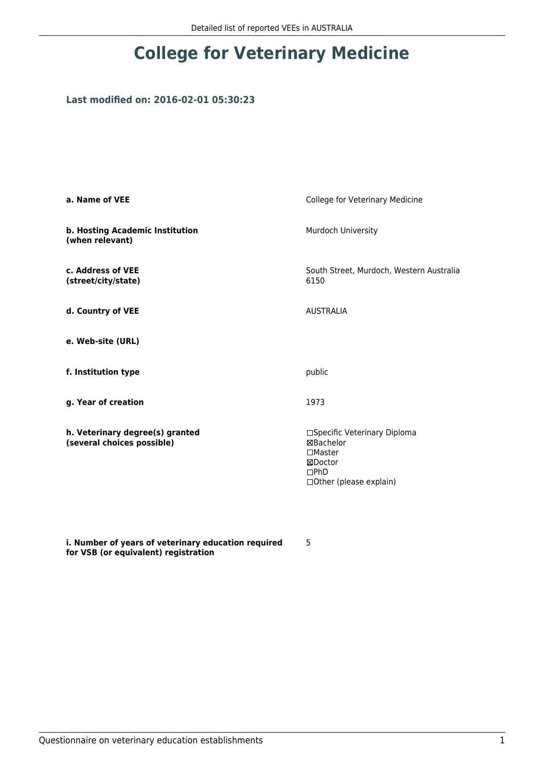## **College for Veterinary Medicine**

### **Last modified on: 2016-02-01 05:30:23**

| a. Name of VEE                                                | College for Veterinary Medicine                                                                                           |
|---------------------------------------------------------------|---------------------------------------------------------------------------------------------------------------------------|
| b. Hosting Academic Institution<br>(when relevant)            | Murdoch University                                                                                                        |
| c. Address of VEE<br>(street/city/state)                      | South Street, Murdoch, Western Australia<br>6150                                                                          |
| d. Country of VEE                                             | <b>AUSTRALIA</b>                                                                                                          |
| e. Web-site (URL)                                             |                                                                                                                           |
| f. Institution type                                           | public                                                                                                                    |
| g. Year of creation                                           | 1973                                                                                                                      |
| h. Veterinary degree(s) granted<br>(several choices possible) | □Specific Veterinary Diploma<br><b>⊠Bachelor</b><br>$\Box$ Master<br>⊠Doctor<br>$\square$ PhD<br>□ Other (please explain) |

**i. Number of years of veterinary education required for VSB (or equivalent) registration**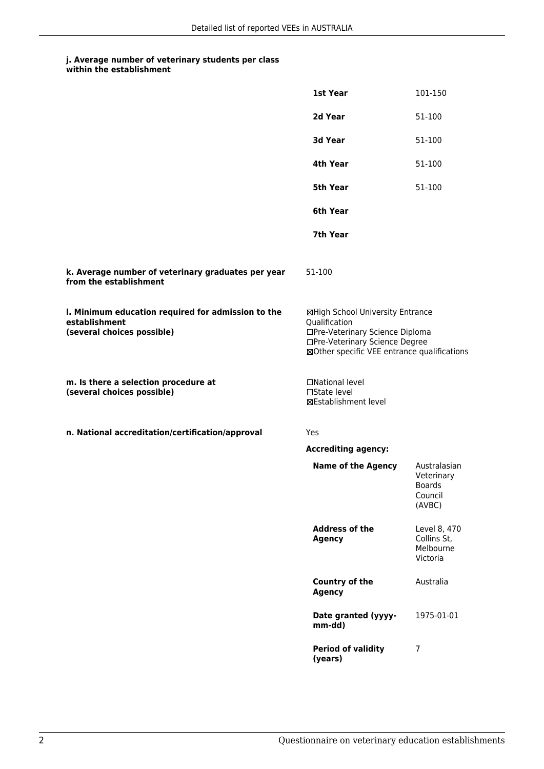|                                                                                                   | 1st Year                                                                                                                                                              | 101-150                                                          |
|---------------------------------------------------------------------------------------------------|-----------------------------------------------------------------------------------------------------------------------------------------------------------------------|------------------------------------------------------------------|
|                                                                                                   | 2d Year                                                                                                                                                               | 51-100                                                           |
|                                                                                                   | 3d Year                                                                                                                                                               | 51-100                                                           |
|                                                                                                   | 4th Year                                                                                                                                                              | 51-100                                                           |
|                                                                                                   | 5th Year                                                                                                                                                              | 51-100                                                           |
|                                                                                                   | 6th Year                                                                                                                                                              |                                                                  |
|                                                                                                   | 7th Year                                                                                                                                                              |                                                                  |
| k. Average number of veterinary graduates per year<br>from the establishment                      | 51-100                                                                                                                                                                |                                                                  |
| I. Minimum education required for admission to the<br>establishment<br>(several choices possible) | ⊠High School University Entrance<br>Qualification<br>□Pre-Veterinary Science Diploma<br>□Pre-Veterinary Science Degree<br>⊠Other specific VEE entrance qualifications |                                                                  |
| m. Is there a selection procedure at<br>(several choices possible)                                | □National level<br>$\Box$ State level<br><b>⊠Establishment level</b>                                                                                                  |                                                                  |
| n. National accreditation/certification/approval                                                  | Yes                                                                                                                                                                   |                                                                  |
|                                                                                                   | <b>Accrediting agency:</b>                                                                                                                                            |                                                                  |
|                                                                                                   | <b>Name of the Agency</b>                                                                                                                                             | Australasian<br>Veterinary<br><b>Boards</b><br>Council<br>(AVBC) |
|                                                                                                   | <b>Address of the</b><br><b>Agency</b>                                                                                                                                | Level 8, 470<br>Collins St,<br>Melbourne<br>Victoria             |
|                                                                                                   | Country of the<br><b>Agency</b>                                                                                                                                       | Australia                                                        |
|                                                                                                   | Date granted (yyyy-<br>mm-dd)                                                                                                                                         | 1975-01-01                                                       |
|                                                                                                   | <b>Period of validity</b><br>(years)                                                                                                                                  | $\overline{7}$                                                   |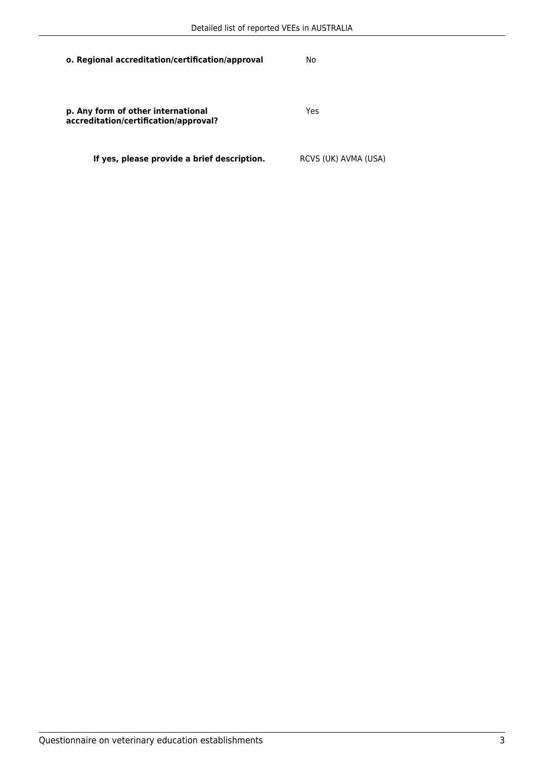| o. Regional accreditation/certification/approval                            | No                   |
|-----------------------------------------------------------------------------|----------------------|
| p. Any form of other international<br>accreditation/certification/approval? | Yes                  |
| If yes, please provide a brief description.                                 | RCVS (UK) AVMA (USA) |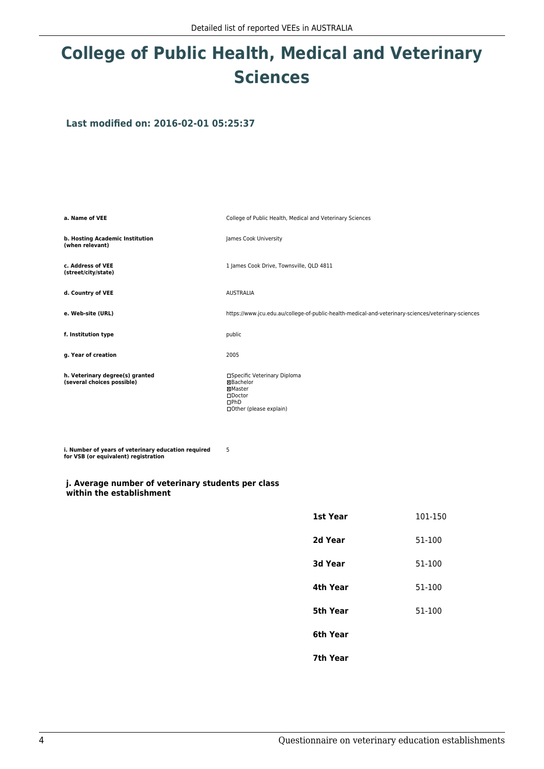# **College of Public Health, Medical and Veterinary Sciences**

**Last modified on: 2016-02-01 05:25:37**

**a. Name of VEE College of Public Health, Medical and Veterinary Sciences b. Hosting Academic Institution (when relevant)** James Cook University **c. Address of VEE (street/city/state)** 1 James Cook Drive, Townsville, QLD 4811 **d. Country of VEE** AUSTRALIA **e. Web-site (URL)** https://www.jcu.edu.au/college-of-public-health-medical-and-veterinary-sciences/veterinary-sciences **f. Institution type** public **g. Year of creation** 2005 **h. Veterinary degree(s) granted (several choices possible)** □Specific Veterinary Diploma Bachelor Master Doctor  $\n **DPhD**\n$ Other (please explain)

**i. Number of years of veterinary education required for VSB (or equivalent) registration**

#### **j. Average number of veterinary students per class within the establishment**

| 1st Year       | 101-150 |
|----------------|---------|
| 2d Year        | 51-100  |
| <b>3d Year</b> | 51-100  |
| 4th Year       | 51-100  |
| 5th Year       | 51-100  |
| 6th Year       |         |
| 7th Year       |         |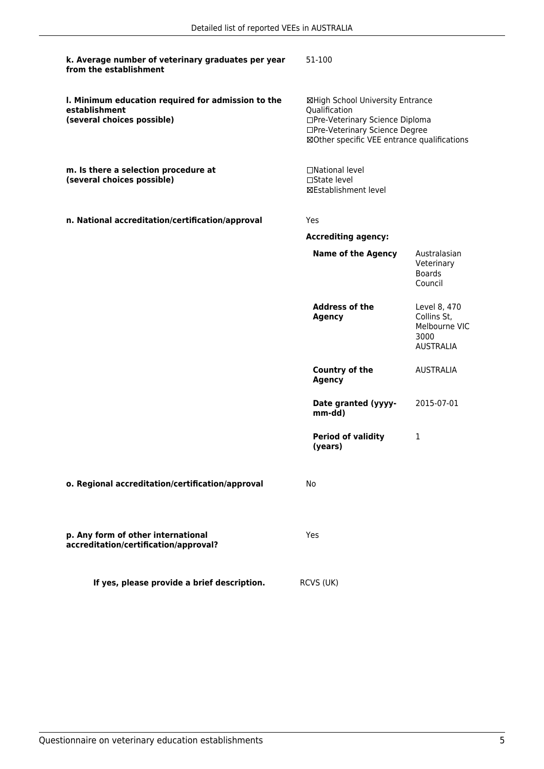| k. Average number of veterinary graduates per year<br>from the establishment                      | 51-100                                                                                                                                                                |                                                                          |
|---------------------------------------------------------------------------------------------------|-----------------------------------------------------------------------------------------------------------------------------------------------------------------------|--------------------------------------------------------------------------|
| I. Minimum education required for admission to the<br>establishment<br>(several choices possible) | ⊠High School University Entrance<br>Qualification<br>□Pre-Veterinary Science Diploma<br>□Pre-Veterinary Science Degree<br>⊠Other specific VEE entrance qualifications |                                                                          |
| m. Is there a selection procedure at<br>(several choices possible)                                | □National level<br>$\Box$ State level<br>⊠Establishment level                                                                                                         |                                                                          |
| n. National accreditation/certification/approval                                                  | Yes                                                                                                                                                                   |                                                                          |
|                                                                                                   | <b>Accrediting agency:</b>                                                                                                                                            |                                                                          |
|                                                                                                   | <b>Name of the Agency</b>                                                                                                                                             | Australasian<br>Veterinary<br><b>Boards</b><br>Council                   |
|                                                                                                   | <b>Address of the</b><br><b>Agency</b>                                                                                                                                | Level 8, 470<br>Collins St,<br>Melbourne VIC<br>3000<br><b>AUSTRALIA</b> |
|                                                                                                   | <b>Country of the</b><br><b>Agency</b>                                                                                                                                | <b>AUSTRALIA</b>                                                         |
|                                                                                                   | Date granted (yyyy-<br>mm-dd)                                                                                                                                         | 2015-07-01                                                               |
|                                                                                                   | <b>Period of validity</b><br>(years)                                                                                                                                  | 1                                                                        |
| o. Regional accreditation/certification/approval                                                  | No                                                                                                                                                                    |                                                                          |
| p. Any form of other international<br>accreditation/certification/approval?                       | Yes                                                                                                                                                                   |                                                                          |
| If yes, please provide a brief description.                                                       | RCVS (UK)                                                                                                                                                             |                                                                          |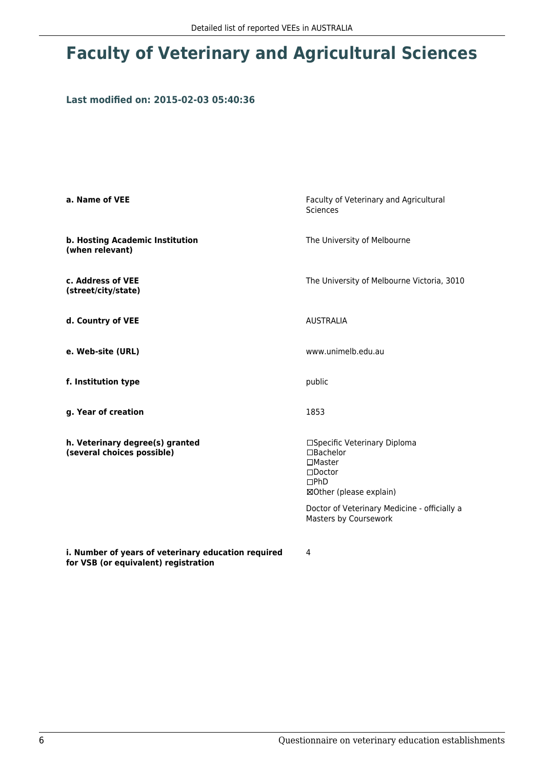# **Faculty of Veterinary and Agricultural Sciences**

#### **Last modified on: 2015-02-03 05:40:36**

| a. Name of VEE                                                | Faculty of Veterinary and Agricultural<br><b>Sciences</b>                                                                                                                                              |
|---------------------------------------------------------------|--------------------------------------------------------------------------------------------------------------------------------------------------------------------------------------------------------|
| b. Hosting Academic Institution<br>(when relevant)            | The University of Melbourne                                                                                                                                                                            |
| c. Address of VEE<br>(street/city/state)                      | The University of Melbourne Victoria, 3010                                                                                                                                                             |
| d. Country of VEE                                             | <b>AUSTRALIA</b>                                                                                                                                                                                       |
| e. Web-site (URL)                                             | www.unimelb.edu.au                                                                                                                                                                                     |
| f. Institution type                                           | public                                                                                                                                                                                                 |
| g. Year of creation                                           | 1853                                                                                                                                                                                                   |
| h. Veterinary degree(s) granted<br>(several choices possible) | □Specific Veterinary Diploma<br>$\Box$ Bachelor<br>$\Box$ Master<br>$\square$ Doctor<br>$\Box$ PhD<br>⊠Other (please explain)<br>Doctor of Veterinary Medicine - officially a<br>Masters by Coursework |
| : Number of voore of votarinore oducation roculeod            |                                                                                                                                                                                                        |

**i. Number of years of veterinary education required for VSB (or equivalent) registration**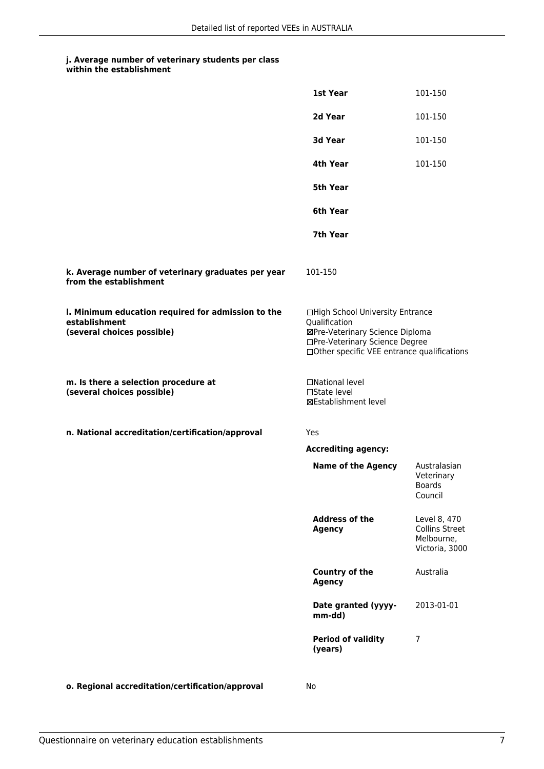| within the establishment |
|--------------------------|
|                          |

|                                                                                                   | 1st Year                                                                                                                                                              | 101-150                                                               |
|---------------------------------------------------------------------------------------------------|-----------------------------------------------------------------------------------------------------------------------------------------------------------------------|-----------------------------------------------------------------------|
|                                                                                                   | 2d Year                                                                                                                                                               | 101-150                                                               |
|                                                                                                   | 3d Year                                                                                                                                                               | 101-150                                                               |
|                                                                                                   | 4th Year                                                                                                                                                              | 101-150                                                               |
|                                                                                                   | 5th Year                                                                                                                                                              |                                                                       |
|                                                                                                   | 6th Year                                                                                                                                                              |                                                                       |
|                                                                                                   | 7th Year                                                                                                                                                              |                                                                       |
| k. Average number of veterinary graduates per year<br>from the establishment                      | 101-150                                                                                                                                                               |                                                                       |
| I. Minimum education required for admission to the<br>establishment<br>(several choices possible) | □High School University Entrance<br>Qualification<br>⊠Pre-Veterinary Science Diploma<br>□Pre-Veterinary Science Degree<br>□Other specific VEE entrance qualifications |                                                                       |
| m. Is there a selection procedure at<br>(several choices possible)                                | □National level<br>□State level<br>⊠Establishment level                                                                                                               |                                                                       |
| n. National accreditation/certification/approval                                                  | Yes                                                                                                                                                                   |                                                                       |
|                                                                                                   | <b>Accrediting agency:</b>                                                                                                                                            |                                                                       |
|                                                                                                   | <b>Name of the Agency</b>                                                                                                                                             | Australasian<br>Veterinary<br><b>Boards</b><br>Council                |
|                                                                                                   | <b>Address of the</b><br><b>Agency</b>                                                                                                                                | Level 8, 470<br><b>Collins Street</b><br>Melbourne,<br>Victoria, 3000 |
|                                                                                                   | <b>Country of the</b><br><b>Agency</b>                                                                                                                                | Australia                                                             |
|                                                                                                   | Date granted (yyyy-<br>mm-dd)                                                                                                                                         | 2013-01-01                                                            |
|                                                                                                   | <b>Period of validity</b><br>(years)                                                                                                                                  | 7                                                                     |
| o. Regional accreditation/certification/approval                                                  | No                                                                                                                                                                    |                                                                       |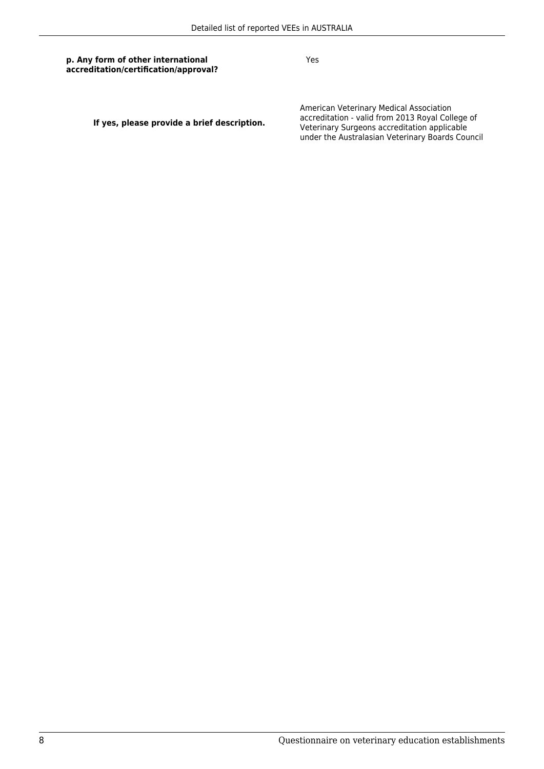Yes

**If yes, please provide a brief description.**

American Veterinary Medical Association accreditation - valid from 2013 Royal College of Veterinary Surgeons accreditation applicable under the Australasian Veterinary Boards Council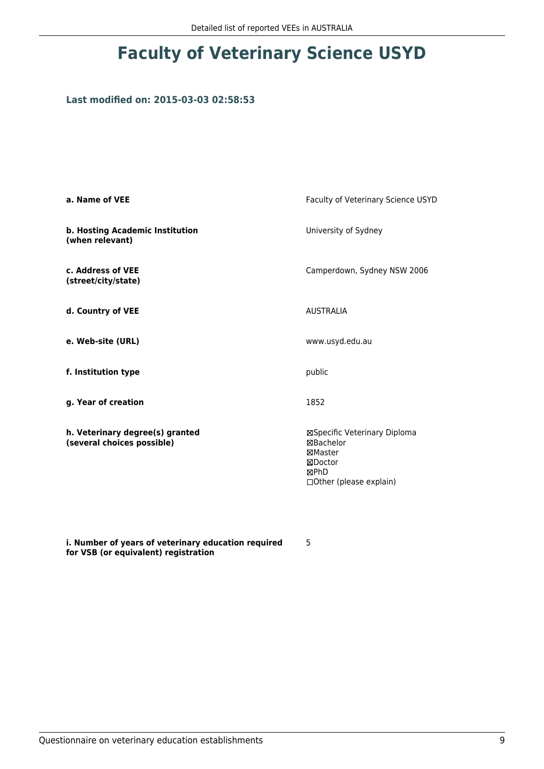## **Faculty of Veterinary Science USYD**

### **Last modified on: 2015-03-03 02:58:53**

| a. Name of VEE                                                | Faculty of Veterinary Science USYD                                                                       |
|---------------------------------------------------------------|----------------------------------------------------------------------------------------------------------|
| b. Hosting Academic Institution<br>(when relevant)            | University of Sydney                                                                                     |
| c. Address of VEE<br>(street/city/state)                      | Camperdown, Sydney NSW 2006                                                                              |
| d. Country of VEE                                             | <b>AUSTRALIA</b>                                                                                         |
| e. Web-site (URL)                                             | www.usyd.edu.au                                                                                          |
| f. Institution type                                           | public                                                                                                   |
| g. Year of creation                                           | 1852                                                                                                     |
| h. Veterinary degree(s) granted<br>(several choices possible) | ⊠Specific Veterinary Diploma<br>⊠Bachelor<br>⊠Master<br>⊠Doctor<br>⊠PhD<br>$\Box$ Other (please explain) |

**i. Number of years of veterinary education required for VSB (or equivalent) registration**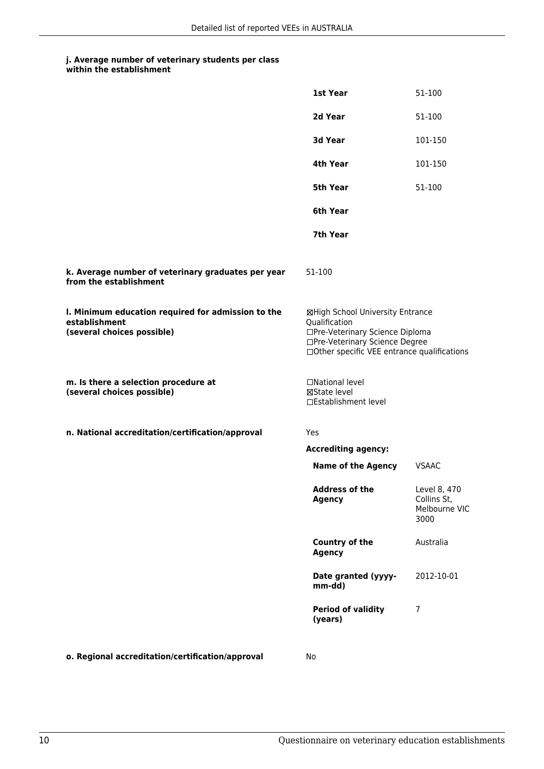|                                                                                                   | 1st Year                                                                                                                                                              | 51-100                                               |
|---------------------------------------------------------------------------------------------------|-----------------------------------------------------------------------------------------------------------------------------------------------------------------------|------------------------------------------------------|
|                                                                                                   | 2d Year                                                                                                                                                               | 51-100                                               |
|                                                                                                   | 3d Year                                                                                                                                                               | 101-150                                              |
|                                                                                                   | 4th Year                                                                                                                                                              | 101-150                                              |
|                                                                                                   | <b>5th Year</b>                                                                                                                                                       | 51-100                                               |
|                                                                                                   | 6th Year                                                                                                                                                              |                                                      |
|                                                                                                   | 7th Year                                                                                                                                                              |                                                      |
| k. Average number of veterinary graduates per year<br>from the establishment                      | 51-100                                                                                                                                                                |                                                      |
| I. Minimum education required for admission to the<br>establishment<br>(several choices possible) | ⊠High School University Entrance<br>Qualification<br>□Pre-Veterinary Science Diploma<br>□Pre-Veterinary Science Degree<br>□Other specific VEE entrance qualifications |                                                      |
| m. Is there a selection procedure at<br>(several choices possible)                                | □National level<br>⊠State level<br>□Establishment level                                                                                                               |                                                      |
| n. National accreditation/certification/approval                                                  | Yes                                                                                                                                                                   |                                                      |
|                                                                                                   | <b>Accrediting agency:</b>                                                                                                                                            |                                                      |
|                                                                                                   | <b>Name of the Agency</b>                                                                                                                                             | <b>VSAAC</b>                                         |
|                                                                                                   | Address of the<br><b>Agency</b>                                                                                                                                       | Level 8, 470<br>Collins St,<br>Melbourne VIC<br>3000 |
|                                                                                                   | Country of the<br><b>Agency</b>                                                                                                                                       | Australia                                            |
|                                                                                                   | Date granted (yyyy-<br>mm-dd)                                                                                                                                         | 2012-10-01                                           |
|                                                                                                   | <b>Period of validity</b><br>(years)                                                                                                                                  | 7                                                    |
| o. Regional accreditation/certification/approval                                                  | No                                                                                                                                                                    |                                                      |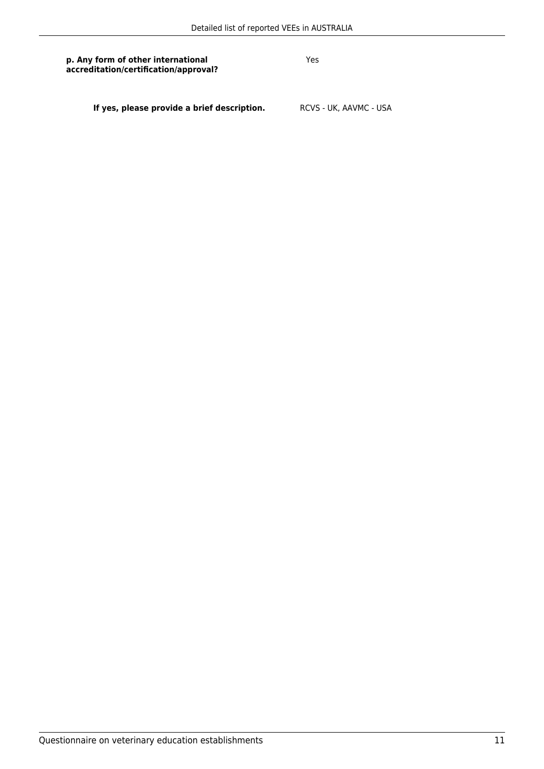Yes

**If yes, please provide a brief description.** RCVS - UK, AAVMC - USA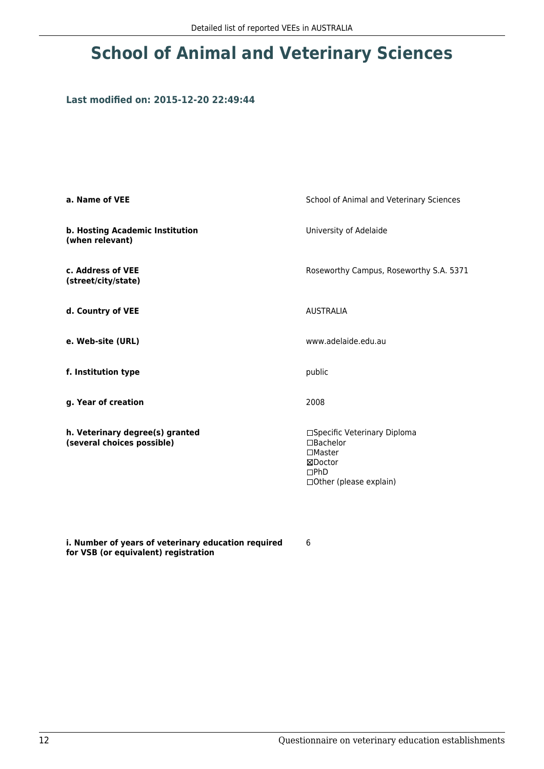# **School of Animal and Veterinary Sciences**

#### **Last modified on: 2015-12-20 22:49:44**

| a. Name of VEE                                                | School of Animal and Veterinary Sciences                                                                          |
|---------------------------------------------------------------|-------------------------------------------------------------------------------------------------------------------|
| b. Hosting Academic Institution<br>(when relevant)            | University of Adelaide                                                                                            |
| c. Address of VEE<br>(street/city/state)                      | Roseworthy Campus, Roseworthy S.A. 5371                                                                           |
| d. Country of VEE                                             | <b>AUSTRALIA</b>                                                                                                  |
| e. Web-site (URL)                                             | www.adelaide.edu.au                                                                                               |
| f. Institution type                                           | public                                                                                                            |
| g. Year of creation                                           | 2008                                                                                                              |
| h. Veterinary degree(s) granted<br>(several choices possible) | □Specific Veterinary Diploma<br>□Bachelor<br>$\square$ Master<br>⊠Doctor<br>DPhD<br>$\Box$ Other (please explain) |

**i. Number of years of veterinary education required for VSB (or equivalent) registration**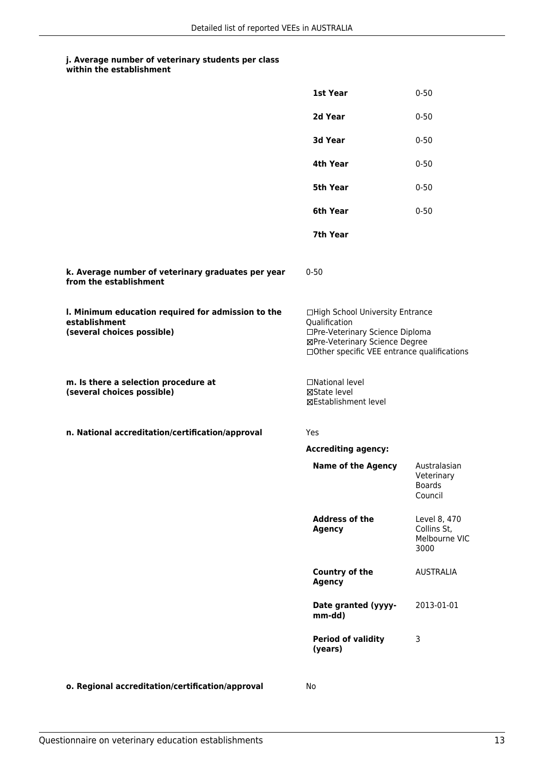|  | within the establishment |
|--|--------------------------|
|--|--------------------------|

|                                                                                                   | 1st Year                                                                                                                                                              | $0 - 50$                                               |
|---------------------------------------------------------------------------------------------------|-----------------------------------------------------------------------------------------------------------------------------------------------------------------------|--------------------------------------------------------|
|                                                                                                   | 2d Year                                                                                                                                                               | $0 - 50$                                               |
|                                                                                                   | 3d Year                                                                                                                                                               | $0 - 50$                                               |
|                                                                                                   | 4th Year                                                                                                                                                              | $0 - 50$                                               |
|                                                                                                   | 5th Year                                                                                                                                                              | $0 - 50$                                               |
|                                                                                                   | 6th Year                                                                                                                                                              | $0 - 50$                                               |
|                                                                                                   | 7th Year                                                                                                                                                              |                                                        |
| k. Average number of veterinary graduates per year<br>from the establishment                      | $0 - 50$                                                                                                                                                              |                                                        |
| I. Minimum education required for admission to the<br>establishment<br>(several choices possible) | □High School University Entrance<br>Qualification<br>□Pre-Veterinary Science Diploma<br>⊠Pre-Veterinary Science Degree<br>□Other specific VEE entrance qualifications |                                                        |
| m. Is there a selection procedure at<br>(several choices possible)                                | □National level<br>⊠State level<br>⊠Establishment level                                                                                                               |                                                        |
| n. National accreditation/certification/approval                                                  | Yes                                                                                                                                                                   |                                                        |
|                                                                                                   | <b>Accrediting agency:</b>                                                                                                                                            |                                                        |
|                                                                                                   | <b>Name of the Agency</b>                                                                                                                                             | Australasian<br>Veterinary<br><b>Boards</b><br>Council |
|                                                                                                   | <b>Address of the</b><br><b>Agency</b>                                                                                                                                | Level 8, 470<br>Collins St,<br>Melbourne VIC<br>3000   |
|                                                                                                   | Country of the<br>Agency                                                                                                                                              | <b>AUSTRALIA</b>                                       |
|                                                                                                   | Date granted (yyyy-<br>mm-dd)                                                                                                                                         | 2013-01-01                                             |
|                                                                                                   | <b>Period of validity</b><br>(years)                                                                                                                                  | 3                                                      |
| o. Regional accreditation/certification/approval                                                  | No                                                                                                                                                                    |                                                        |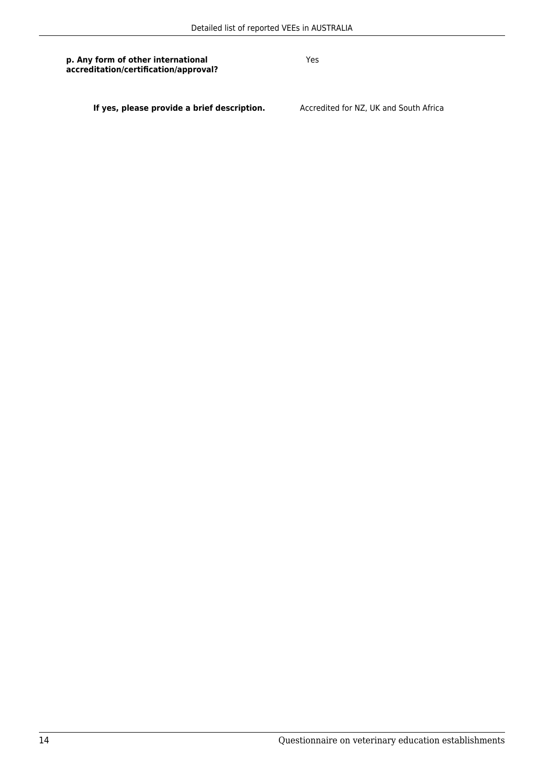Yes

**If yes, please provide a brief description.** Accredited for NZ, UK and South Africa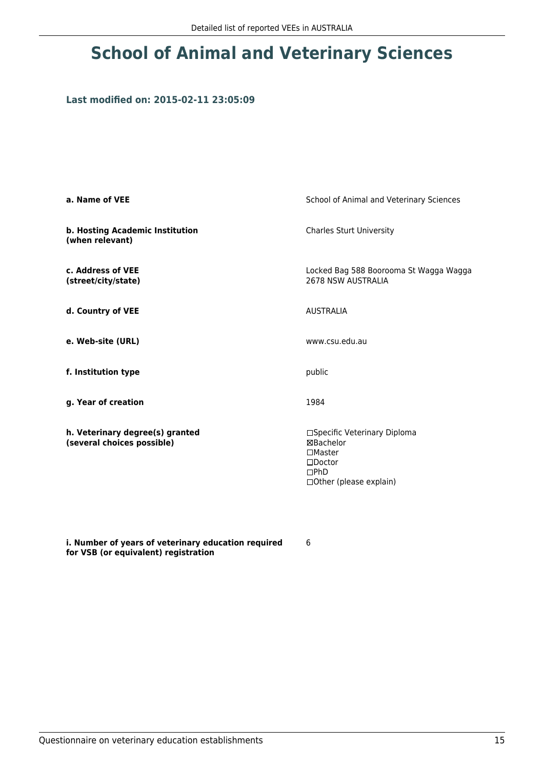# **School of Animal and Veterinary Sciences**

#### **Last modified on: 2015-02-11 23:05:09**

| a. Name of VEE                                                | School of Animal and Veterinary Sciences                                                                              |  |
|---------------------------------------------------------------|-----------------------------------------------------------------------------------------------------------------------|--|
| b. Hosting Academic Institution<br>(when relevant)            | <b>Charles Sturt University</b>                                                                                       |  |
| c. Address of VEE<br>(street/city/state)                      | Locked Bag 588 Boorooma St Wagga Wagga<br>2678 NSW AUSTRALIA                                                          |  |
| d. Country of VEE                                             | <b>AUSTRALIA</b>                                                                                                      |  |
| e. Web-site (URL)                                             | www.csu.edu.au                                                                                                        |  |
| f. Institution type                                           | public                                                                                                                |  |
| g. Year of creation                                           | 1984                                                                                                                  |  |
| h. Veterinary degree(s) granted<br>(several choices possible) | □Specific Veterinary Diploma<br>⊠Bachelor<br>$\square$ Master<br>$\square$ Doctor<br>DPhD<br>□ Other (please explain) |  |

**i. Number of years of veterinary education required for VSB (or equivalent) registration**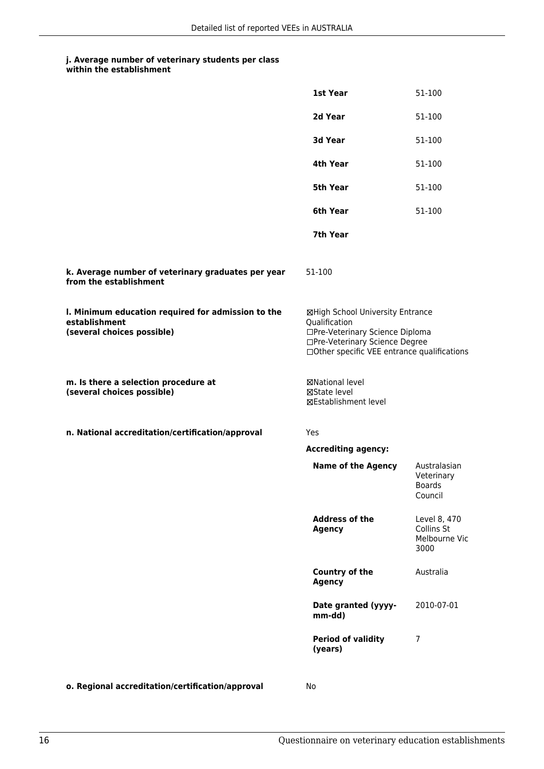| within the establishment |
|--------------------------|
|                          |

|                                                                                                   | 1st Year                                                                                                                                                              | 51-100                                                 |
|---------------------------------------------------------------------------------------------------|-----------------------------------------------------------------------------------------------------------------------------------------------------------------------|--------------------------------------------------------|
|                                                                                                   | 2d Year                                                                                                                                                               | 51-100                                                 |
|                                                                                                   | 3d Year                                                                                                                                                               | 51-100                                                 |
|                                                                                                   | 4th Year                                                                                                                                                              | 51-100                                                 |
|                                                                                                   | 5th Year                                                                                                                                                              | 51-100                                                 |
|                                                                                                   | 6th Year                                                                                                                                                              | 51-100                                                 |
|                                                                                                   | 7th Year                                                                                                                                                              |                                                        |
| k. Average number of veterinary graduates per year<br>from the establishment                      | 51-100                                                                                                                                                                |                                                        |
| I. Minimum education required for admission to the<br>establishment<br>(several choices possible) | ⊠High School University Entrance<br>Qualification<br>□Pre-Veterinary Science Diploma<br>□Pre-Veterinary Science Degree<br>□Other specific VEE entrance qualifications |                                                        |
| m. Is there a selection procedure at<br>(several choices possible)                                | <b>⊠National level</b><br>⊠State level<br><b>⊠Establishment level</b>                                                                                                 |                                                        |
| n. National accreditation/certification/approval                                                  | Yes                                                                                                                                                                   |                                                        |
|                                                                                                   | <b>Accrediting agency:</b>                                                                                                                                            |                                                        |
|                                                                                                   | <b>Name of the Agency</b>                                                                                                                                             | Australasian<br>Veterinary<br><b>Boards</b><br>Council |
|                                                                                                   | <b>Address of the</b><br><b>Agency</b>                                                                                                                                | Level 8, 470<br>Collins St<br>Melbourne Vic<br>3000    |
|                                                                                                   | Country of the<br><b>Agency</b>                                                                                                                                       | Australia                                              |
|                                                                                                   | Date granted (yyyy-<br>mm-dd)                                                                                                                                         | 2010-07-01                                             |
|                                                                                                   | <b>Period of validity</b><br>(years)                                                                                                                                  | 7                                                      |
| o. Regional accreditation/certification/approval                                                  | No                                                                                                                                                                    |                                                        |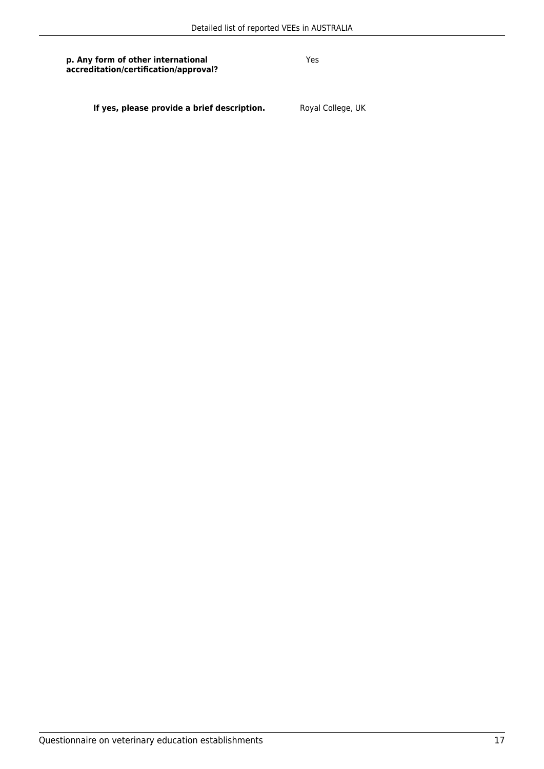Yes

**If yes, please provide a brief description.** Royal College, UK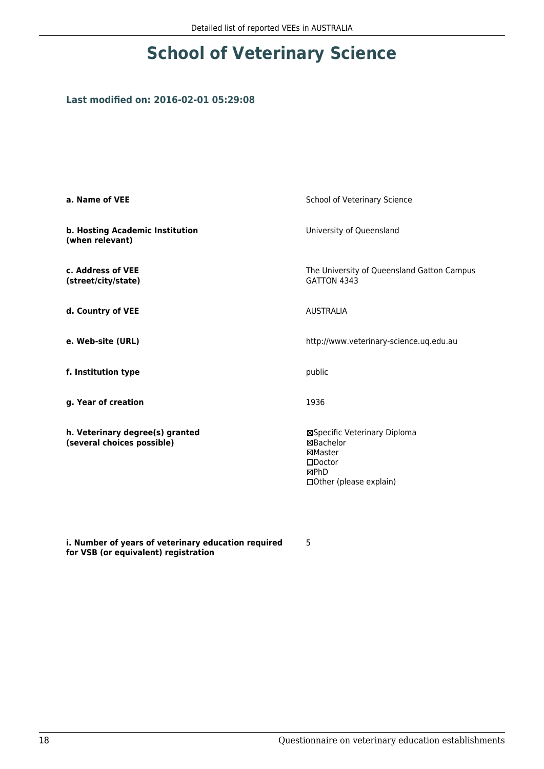# **School of Veterinary Science**

### **Last modified on: 2016-02-01 05:29:08**

| a. Name of VEE                                                | School of Veterinary Science                                                                                 |
|---------------------------------------------------------------|--------------------------------------------------------------------------------------------------------------|
| b. Hosting Academic Institution<br>(when relevant)            | University of Queensland                                                                                     |
| c. Address of VEE<br>(street/city/state)                      | The University of Queensland Gatton Campus<br>GATTON 4343                                                    |
| d. Country of VEE                                             | <b>AUSTRALIA</b>                                                                                             |
| e. Web-site (URL)                                             | http://www.veterinary-science.uq.edu.au                                                                      |
| f. Institution type                                           | public                                                                                                       |
| g. Year of creation                                           | 1936                                                                                                         |
| h. Veterinary degree(s) granted<br>(several choices possible) | ⊠Specific Veterinary Diploma<br>⊠Bachelor<br>⊠Master<br>$\square$ Doctor<br>⊠PhD<br>□ Other (please explain) |

**i. Number of years of veterinary education required for VSB (or equivalent) registration**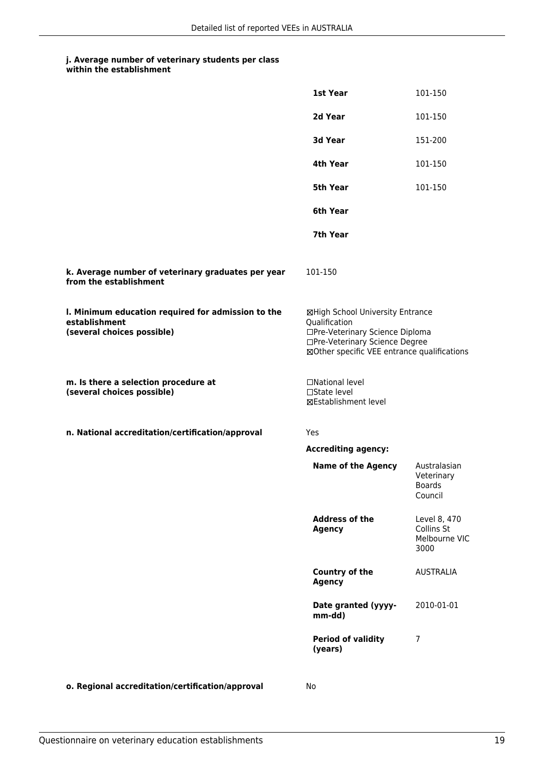| within the establishment |
|--------------------------|
|                          |

|                                                                                                   | 1st Year                                                                                                                                                              | 101-150                                                |
|---------------------------------------------------------------------------------------------------|-----------------------------------------------------------------------------------------------------------------------------------------------------------------------|--------------------------------------------------------|
|                                                                                                   | 2d Year                                                                                                                                                               | 101-150                                                |
|                                                                                                   |                                                                                                                                                                       |                                                        |
|                                                                                                   | 3d Year                                                                                                                                                               | 151-200                                                |
|                                                                                                   | 4th Year                                                                                                                                                              | 101-150                                                |
|                                                                                                   | 5th Year                                                                                                                                                              | 101-150                                                |
|                                                                                                   | 6th Year                                                                                                                                                              |                                                        |
|                                                                                                   | 7th Year                                                                                                                                                              |                                                        |
| k. Average number of veterinary graduates per year<br>from the establishment                      | 101-150                                                                                                                                                               |                                                        |
| I. Minimum education required for admission to the<br>establishment<br>(several choices possible) | ⊠High School University Entrance<br>Qualification<br>□Pre-Veterinary Science Diploma<br>□Pre-Veterinary Science Degree<br>⊠Other specific VEE entrance qualifications |                                                        |
| m. Is there a selection procedure at<br>(several choices possible)                                | □National level<br>□State level<br>⊠Establishment level                                                                                                               |                                                        |
| n. National accreditation/certification/approval                                                  | Yes                                                                                                                                                                   |                                                        |
|                                                                                                   | <b>Accrediting agency:</b>                                                                                                                                            |                                                        |
|                                                                                                   | <b>Name of the Agency</b>                                                                                                                                             | Australasian<br>Veterinary<br><b>Boards</b><br>Council |
|                                                                                                   | <b>Address of the</b><br><b>Agency</b>                                                                                                                                | Level 8, 470<br>Collins St<br>Melbourne VIC<br>3000    |
|                                                                                                   | Country of the<br><b>Agency</b>                                                                                                                                       | <b>AUSTRALIA</b>                                       |
|                                                                                                   | Date granted (yyyy-<br>mm-dd)                                                                                                                                         | 2010-01-01                                             |
|                                                                                                   | <b>Period of validity</b><br>(years)                                                                                                                                  | 7                                                      |
| o. Regional accreditation/certification/approval                                                  | No                                                                                                                                                                    |                                                        |